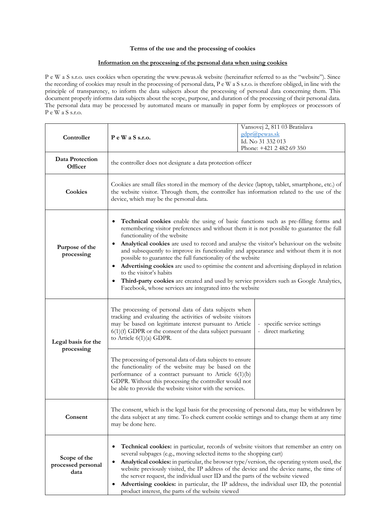## **Terms of the use and the processing of cookies**

## **Information on the processing of the personal data when using cookies**

P e W a S s.r.o. uses cookies when operating the www.pewas.sk website (hereinafter referred to as the "website"). Since the recording of cookies may result in the processing of personal data, P e W a S s.r.o. is therefore obliged, in line with the principle of transparency, to inform the data subjects about the processing of personal data concerning them. This document properly informs data subjects about the scope, purpose, and duration of the processing of their personal data. The personal data may be processed by automated means or manually in paper form by employees or processors of P e W a S s.r.o.

| Controller                                 | PeWaSs.r.o.                                                                                                                                                                                                                                                                                                                                                                                                                                                                                                                                                                                                                                                                                                                                                         | Vansovej 2, 811 03 Bratislava<br>gdpr@pewas.sk<br>Id. No 31 332 013<br>Phone: +421 2 482 69 350 |
|--------------------------------------------|---------------------------------------------------------------------------------------------------------------------------------------------------------------------------------------------------------------------------------------------------------------------------------------------------------------------------------------------------------------------------------------------------------------------------------------------------------------------------------------------------------------------------------------------------------------------------------------------------------------------------------------------------------------------------------------------------------------------------------------------------------------------|-------------------------------------------------------------------------------------------------|
| Data Protection<br>Officer                 | the controller does not designate a data protection officer                                                                                                                                                                                                                                                                                                                                                                                                                                                                                                                                                                                                                                                                                                         |                                                                                                 |
| Cookies                                    | Cookies are small files stored in the memory of the device (laptop, tablet, smartphone, etc.) of<br>the website visitor. Through them, the controller has information related to the use of the<br>device, which may be the personal data.                                                                                                                                                                                                                                                                                                                                                                                                                                                                                                                          |                                                                                                 |
| Purpose of the<br>processing               | Technical cookies enable the using of basic functions such as pre-filling forms and<br>remembering visitor preferences and without them it is not possible to guarantee the full<br>functionality of the website<br>Analytical cookies are used to record and analyse the visitor's behaviour on the website<br>and subsequently to improve its functionality and appearance and without them it is not<br>possible to guarantee the full functionality of the website<br>Advertising cookies are used to optimise the content and advertising displayed in relation<br>to the visitor's habits<br>Third-party cookies are created and used by service providers such as Google Analytics,<br>$\bullet$<br>Facebook, whose services are integrated into the website |                                                                                                 |
| Legal basis for the<br>processing          | The processing of personal data of data subjects when<br>tracking and evaluating the activities of website visitors<br>may be based on legitimate interest pursuant to Article<br>$6(1)(f)$ GDPR or the consent of the data subject pursuant<br>to Article $6(1)(a)$ GDPR.                                                                                                                                                                                                                                                                                                                                                                                                                                                                                          | specific service settings<br>direct marketing                                                   |
|                                            | The processing of personal data of data subjects to ensure<br>the functionality of the website may be based on the<br>performance of a contract pursuant to Article $6(1)(b)$<br>GDPR. Without this processing the controller would not<br>be able to provide the website visitor with the services.                                                                                                                                                                                                                                                                                                                                                                                                                                                                |                                                                                                 |
| Consent                                    | The consent, which is the legal basis for the processing of personal data, may be withdrawn by<br>the data subject at any time. To check current cookie settings and to change them at any time<br>may be done here.                                                                                                                                                                                                                                                                                                                                                                                                                                                                                                                                                |                                                                                                 |
| Scope of the<br>processed personal<br>data | Technical cookies: in particular, records of website visitors that remember an entry on<br>٠<br>several subpages (e.g., moving selected items to the shopping cart)<br>Analytical cookies: in particular, the browser type/version, the operating system used, the<br>website previously visited, the IP address of the device and the device name, the time of<br>the server request, the individual user ID and the parts of the website viewed<br>Advertising cookies: in particular, the IP address, the individual user ID, the potential<br>product interest, the parts of the website viewed                                                                                                                                                                 |                                                                                                 |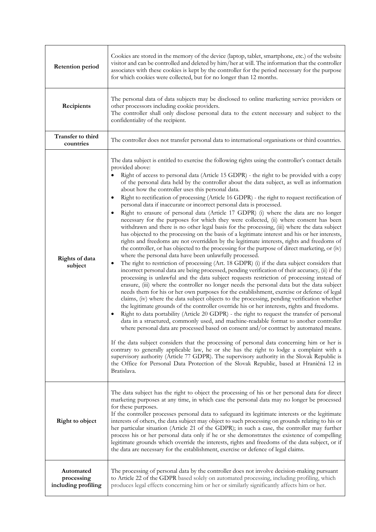| <b>Retention period</b>                        | Cookies are stored in the memory of the device (laptop, tablet, smartphone, etc.) of the website<br>visitor and can be controlled and deleted by him/her at will. The information that the controller<br>associates with these cookies is kept by the controller for the period necessary for the purpose<br>for which cookies were collected, but for no longer than 12 months.                                                                                                                                                                                                                                                                                                                                                                                                                                                                                                                                                                                                                                                                                                                                                                                                                                                                                                                                                                                                                                                                                                                                                                                                                                                                                                                                                                                                                                                                                                                                                                                                                                                                                                                                                                                                                                                                                                                                                                                                                                                                                                                                                                                                          |  |
|------------------------------------------------|-------------------------------------------------------------------------------------------------------------------------------------------------------------------------------------------------------------------------------------------------------------------------------------------------------------------------------------------------------------------------------------------------------------------------------------------------------------------------------------------------------------------------------------------------------------------------------------------------------------------------------------------------------------------------------------------------------------------------------------------------------------------------------------------------------------------------------------------------------------------------------------------------------------------------------------------------------------------------------------------------------------------------------------------------------------------------------------------------------------------------------------------------------------------------------------------------------------------------------------------------------------------------------------------------------------------------------------------------------------------------------------------------------------------------------------------------------------------------------------------------------------------------------------------------------------------------------------------------------------------------------------------------------------------------------------------------------------------------------------------------------------------------------------------------------------------------------------------------------------------------------------------------------------------------------------------------------------------------------------------------------------------------------------------------------------------------------------------------------------------------------------------------------------------------------------------------------------------------------------------------------------------------------------------------------------------------------------------------------------------------------------------------------------------------------------------------------------------------------------------------------------------------------------------------------------------------------------------|--|
| Recipients                                     | The personal data of data subjects may be disclosed to online marketing service providers or<br>other processors including cookie providers.<br>The controller shall only disclose personal data to the extent necessary and subject to the<br>confidentiality of the recipient.                                                                                                                                                                                                                                                                                                                                                                                                                                                                                                                                                                                                                                                                                                                                                                                                                                                                                                                                                                                                                                                                                                                                                                                                                                                                                                                                                                                                                                                                                                                                                                                                                                                                                                                                                                                                                                                                                                                                                                                                                                                                                                                                                                                                                                                                                                          |  |
| Transfer to third<br>countries                 | The controller does not transfer personal data to international organisations or third countries.                                                                                                                                                                                                                                                                                                                                                                                                                                                                                                                                                                                                                                                                                                                                                                                                                                                                                                                                                                                                                                                                                                                                                                                                                                                                                                                                                                                                                                                                                                                                                                                                                                                                                                                                                                                                                                                                                                                                                                                                                                                                                                                                                                                                                                                                                                                                                                                                                                                                                         |  |
| Rights of data<br>subject                      | The data subject is entitled to exercise the following rights using the controller's contact details<br>provided above:<br>Right of access to personal data (Article 15 GDPR) - the right to be provided with a copy<br>of the personal data held by the controller about the data subject, as well as information<br>about how the controller uses this personal data.<br>Right to rectification of processing (Article 16 GDPR) - the right to request rectification of<br>personal data if inaccurate or incorrect personal data is processed.<br>Right to erasure of personal data (Article 17 GDPR) (i) where the data are no longer<br>necessary for the purposes for which they were collected, (ii) where consent has been<br>withdrawn and there is no other legal basis for the processing, (iii) where the data subject<br>has objected to the processing on the basis of a legitimate interest and his or her interests,<br>rights and freedoms are not overridden by the legitimate interests, rights and freedoms of<br>the controller, or has objected to the processing for the purpose of direct marketing, or (iv)<br>where the personal data have been unlawfully processed.<br>The right to restriction of processing (Art. 18 GDPR) (i) if the data subject considers that<br>٠<br>incorrect personal data are being processed, pending verification of their accuracy, (ii) if the<br>processing is unlawful and the data subject requests restriction of processing instead of<br>erasure, (iii) where the controller no longer needs the personal data but the data subject<br>needs them for his or her own purposes for the establishment, exercise or defence of legal<br>claims, (iv) where the data subject objects to the processing, pending verification whether<br>the legitimate grounds of the controller override his or her interests, rights and freedoms.<br>Right to data portability (Article 20 GDPR) - the right to request the transfer of personal<br>data in a structured, commonly used, and machine-readable format to another controller<br>where personal data are processed based on consent and/or contract by automated means.<br>If the data subject considers that the processing of personal data concerning him or her is<br>contrary to generally applicable law, he or she has the right to lodge a complaint with a<br>supervisory authority (Article 77 GDPR). The supervisory authority in the Slovak Republic is<br>the Office for Personal Data Protection of the Slovak Republic, based at Hraničná 12 in<br>Bratislava. |  |
| Right to object                                | The data subject has the right to object the processing of his or her personal data for direct<br>marketing purposes at any time, in which case the personal data may no longer be processed<br>for these purposes.<br>If the controller processes personal data to safeguard its legitimate interests or the legitimate<br>interests of others, the data subject may object to such processing on grounds relating to his or<br>her particular situation (Article 21 of the GDPR); in such a case, the controller may further<br>process his or her personal data only if he or she demonstrates the existence of compelling<br>legitimate grounds which override the interests, rights and freedoms of the data subject, or if<br>the data are necessary for the establishment, exercise or defence of legal claims.                                                                                                                                                                                                                                                                                                                                                                                                                                                                                                                                                                                                                                                                                                                                                                                                                                                                                                                                                                                                                                                                                                                                                                                                                                                                                                                                                                                                                                                                                                                                                                                                                                                                                                                                                                    |  |
| Automated<br>processing<br>including profiling | The processing of personal data by the controller does not involve decision-making pursuant<br>to Article 22 of the GDPR based solely on automated processing, including profiling, which<br>produces legal effects concerning him or her or similarly significantly affects him or her.                                                                                                                                                                                                                                                                                                                                                                                                                                                                                                                                                                                                                                                                                                                                                                                                                                                                                                                                                                                                                                                                                                                                                                                                                                                                                                                                                                                                                                                                                                                                                                                                                                                                                                                                                                                                                                                                                                                                                                                                                                                                                                                                                                                                                                                                                                  |  |